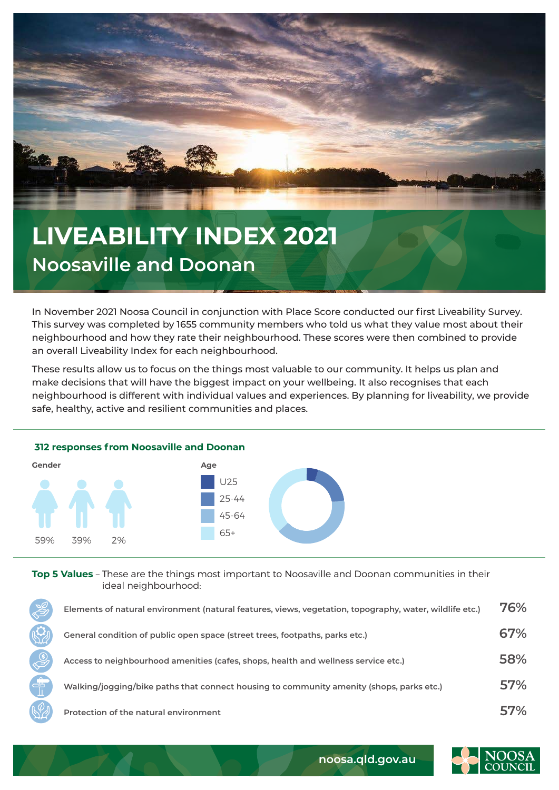

## **LIVEABILITY INDEX 2021 Noosaville and Doonan**

In November 2021 Noosa Council in conjunction with Place Score conducted our first Liveability Survey. This survey was completed by 1655 community members who told us what they value most about their neighbourhood and how they rate their neighbourhood. These scores were then combined to provide an overall Liveability Index for each neighbourhood.

These results allow us to focus on the things most valuable to our community. It helps us plan and make decisions that will have the biggest impact on your wellbeing. It also recognises that each neighbourhood is different with individual values and experiences. By planning for liveability, we provide safe, healthy, active and resilient communities and places.



**Top 5 Values** – These are the things most important to Noosaville and Doonan communities in their ideal neighbourhood:

| $\frac{1}{\sqrt{2}}$ | Elements of natural environment (natural features, views, vegetation, topography, water, wildlife etc.) | 76%        |
|----------------------|---------------------------------------------------------------------------------------------------------|------------|
|                      | General condition of public open space (street trees, footpaths, parks etc.)                            | 67%        |
| $\mathbb{Q}$         | Access to neighbourhood amenities (cafes, shops, health and wellness service etc.)                      | 58%        |
| 帝                    | Walking/jogging/bike paths that connect housing to community amenity (shops, parks etc.)                | <b>57%</b> |
|                      | Protection of the natural environment                                                                   | 57%        |



**noosa.qld.gov.au**